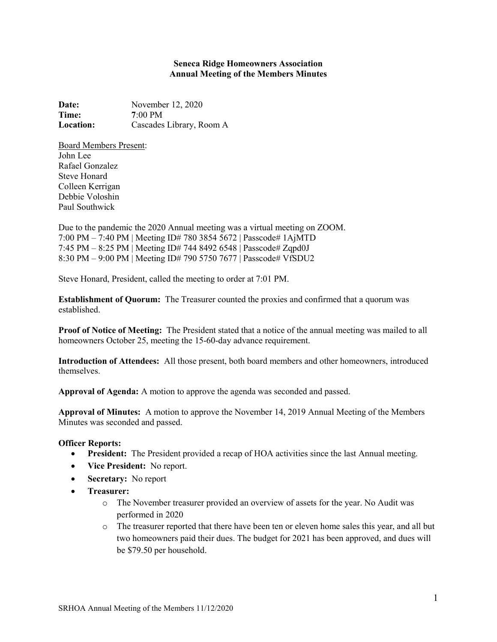## Seneca Ridge Homeowners Association Annual Meeting of the Members Minutes

Date: November 12, 2020 Time: 7:00 PM Location: Cascades Library, Room A

Board Members Present: John Lee Rafael Gonzalez Steve Honard Colleen Kerrigan Debbie Voloshin Paul Southwick

Due to the pandemic the 2020 Annual meeting was a virtual meeting on ZOOM. 7:00 PM – 7:40 PM | Meeting ID# 780 3854 5672 | Passcode# 1AjMTD 7:45 PM – 8:25 PM | Meeting ID# 744 8492 6548 | Passcode# Zqpd0J 8:30 PM – 9:00 PM | Meeting ID# 790 5750 7677 | Passcode# VfSDU2

Steve Honard, President, called the meeting to order at 7:01 PM.

Establishment of Quorum: The Treasurer counted the proxies and confirmed that a quorum was established.

Proof of Notice of Meeting: The President stated that a notice of the annual meeting was mailed to all homeowners October 25, meeting the 15-60-day advance requirement.

Introduction of Attendees: All those present, both board members and other homeowners, introduced themselves.

Approval of Agenda: A motion to approve the agenda was seconded and passed.

Approval of Minutes: A motion to approve the November 14, 2019 Annual Meeting of the Members Minutes was seconded and passed.

## Officer Reports:

- President: The President provided a recap of HOA activities since the last Annual meeting.
- Vice President: No report.
- Secretary: No report
- Treasurer:
	- o The November treasurer provided an overview of assets for the year. No Audit was performed in 2020
	- o The treasurer reported that there have been ten or eleven home sales this year, and all but two homeowners paid their dues. The budget for 2021 has been approved, and dues will be \$79.50 per household.